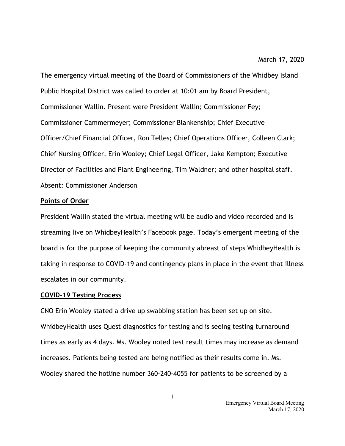The emergency virtual meeting of the Board of Commissioners of the Whidbey Island Public Hospital District was called to order at 10:01 am by Board President, Commissioner Wallin. Present were President Wallin; Commissioner Fey; Commissioner Cammermeyer; Commissioner Blankenship; Chief Executive Officer/Chief Financial Officer, Ron Telles; Chief Operations Officer, Colleen Clark; Chief Nursing Officer, Erin Wooley; Chief Legal Officer, Jake Kempton; Executive Director of Facilities and Plant Engineering, Tim Waldner; and other hospital staff. Absent: Commissioner Anderson

## **Points of Order**

President Wallin stated the virtual meeting will be audio and video recorded and is streaming live on WhidbeyHealth's Facebook page. Today's emergent meeting of the board is for the purpose of keeping the community abreast of steps WhidbeyHealth is taking in response to COVID-19 and contingency plans in place in the event that illness escalates in our community.

#### **COVID-19 Testing Process**

CNO Erin Wooley stated a drive up swabbing station has been set up on site. WhidbeyHealth uses Quest diagnostics for testing and is seeing testing turnaround times as early as 4 days. Ms. Wooley noted test result times may increase as demand increases. Patients being tested are being notified as their results come in. Ms. Wooley shared the hotline number 360-240-4055 for patients to be screened by a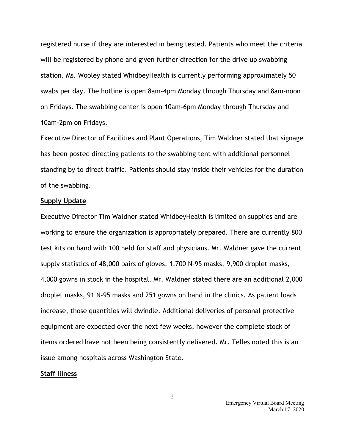registered nurse if they are interested in being tested. Patients who meet the criteria will be registered by phone and given further direction for the drive up swabbing station. Ms. Wooley stated WhidbeyHealth is currently performing approximately 50 swabs per day. The hotline is open 8am-4pm Monday through Thursday and 8am-noon on Fridays. The swabbing center is open 10am-6pm Monday through Thursday and 10am-2pm on Fridays.

Executive Director of Facilities and Plant Operations, Tim Waldner stated that signage has been posted directing patients to the swabbing tent with additional personnel standing by to direct traffic. Patients should stay inside their vehicles for the duration of the swabbing.

## **Supply Update**

Executive Director Tim Waldner stated WhidbeyHealth is limited on supplies and are working to ensure the organization is appropriately prepared. There are currently 800 test kits on hand with 100 held for staff and physicians. Mr. Waldner gave the current supply statistics of 48,000 pairs of gloves, 1,700 N-95 masks, 9,900 droplet masks, 4,000 gowns in stock in the hospital. Mr. Waldner stated there are an additional 2,000 droplet masks, 91 N-95 masks and 251 gowns on hand in the clinics. As patient loads increase, those quantities will dwindle. Additional deliveries of personal protective equipment are expected over the next few weeks, however the complete stock of items ordered have not been being consistently delivered. Mr. Telles noted this is an issue among hospitals across Washington State.

## **Staff Illness**

2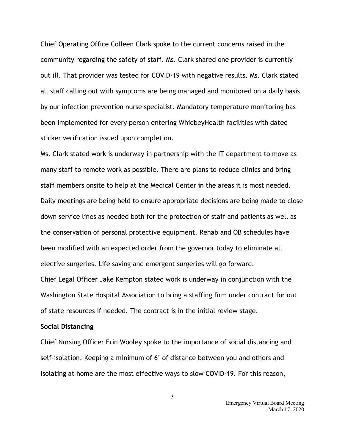Chief Operating Office Colleen Clark spoke to the current concerns raised in the community regarding the safety of staff. Ms. Clark shared one provider is currently out ill. That provider was tested for COVID-19 with negative results. Ms. Clark stated all staff calling out with symptoms are being managed and monitored on a daily basis by our infection prevention nurse specialist. Mandatory temperature monitoring has been implemented for every person entering WhidbeyHealth facilities with dated sticker verification issued upon completion.

Ms. Clark stated work is underway in partnership with the IT department to move as many staff to remote work as possible. There are plans to reduce clinics and bring staff members onsite to help at the Medical Center in the areas it is most needed. Daily meetings are being held to ensure appropriate decisions are being made to close down service lines as needed both for the protection of staff and patients as well as the conservation of personal protective equipment. Rehab and OB schedules have been modified with an expected order from the governor today to eliminate all elective surgeries. Life saving and emergent surgeries will go forward. Chief Legal Officer Jake Kempton stated work is underway in conjunction with the Washington State Hospital Association to bring a staffing firm under contract for out of state resources if needed. The contract is in the initial review stage.

## **Social Distancing**

Chief Nursing Officer Erin Wooley spoke to the importance of social distancing and self-isolation. Keeping a minimum of 6' of distance between you and others and isolating at home are the most effective ways to slow COVID-19. For this reason,

3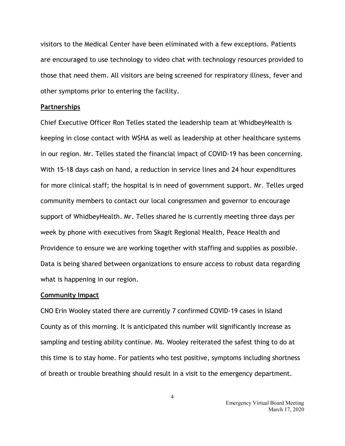visitors to the Medical Center have been eliminated with a few exceptions. Patients are encouraged to use technology to video chat with technology resources provided to those that need them. All visitors are being screened for respiratory illness, fever and other symptoms prior to entering the facility.

#### **Partnerships**

Chief Executive Officer Ron Telles stated the leadership team at WhidbeyHealth is keeping in close contact with WSHA as well as leadership at other healthcare systems in our region. Mr. Telles stated the financial impact of COVID-19 has been concerning. With 15-18 days cash on hand, a reduction in service lines and 24 hour expenditures for more clinical staff; the hospital is in need of government support. Mr. Telles urged community members to contact our local congressmen and governor to encourage support of WhidbeyHealth. Mr. Telles shared he is currently meeting three days per week by phone with executives from Skagit Regional Health, Peace Health and Providence to ensure we are working together with staffing and supplies as possible. Data is being shared between organizations to ensure access to robust data regarding what is happening in our region.

#### **Community Impact**

CNO Erin Wooley stated there are currently 7 confirmed COVID-19 cases in Island County as of this morning. It is anticipated this number will significantly increase as sampling and testing ability continue. Ms. Wooley reiterated the safest thing to do at this time is to stay home. For patients who test positive, symptoms including shortness of breath or trouble breathing should result in a visit to the emergency department.

4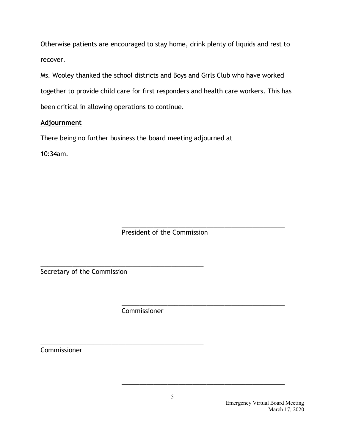Otherwise patients are encouraged to stay home, drink plenty of liquids and rest to recover.

Ms. Wooley thanked the school districts and Boys and Girls Club who have worked together to provide child care for first responders and health care workers. This has been critical in allowing operations to continue.

# **Adjournment**

There being no further business the board meeting adjourned at

10:34am.

\_\_\_\_\_\_\_\_\_\_\_\_\_\_\_\_\_\_\_\_\_\_\_\_\_\_\_\_\_\_\_\_\_\_\_\_\_\_\_\_\_\_\_\_\_\_ President of the Commission

Secretary of the Commission

\_\_\_\_\_\_\_\_\_\_\_\_\_\_\_\_\_\_\_\_\_\_\_\_\_\_\_\_\_\_\_\_\_\_\_\_\_\_\_\_\_\_\_\_\_\_ Commissioner

\_\_\_\_\_\_\_\_\_\_\_\_\_\_\_\_\_\_\_\_\_\_\_\_\_\_\_\_\_\_\_\_\_\_\_\_\_\_\_\_\_\_\_\_\_\_

\_\_\_\_\_\_\_\_\_\_\_\_\_\_\_\_\_\_\_\_\_\_\_\_\_\_\_\_\_\_\_\_\_\_\_\_\_\_\_\_\_\_\_\_\_\_ Commissioner

\_\_\_\_\_\_\_\_\_\_\_\_\_\_\_\_\_\_\_\_\_\_\_\_\_\_\_\_\_\_\_\_\_\_\_\_\_\_\_\_\_\_\_\_\_\_